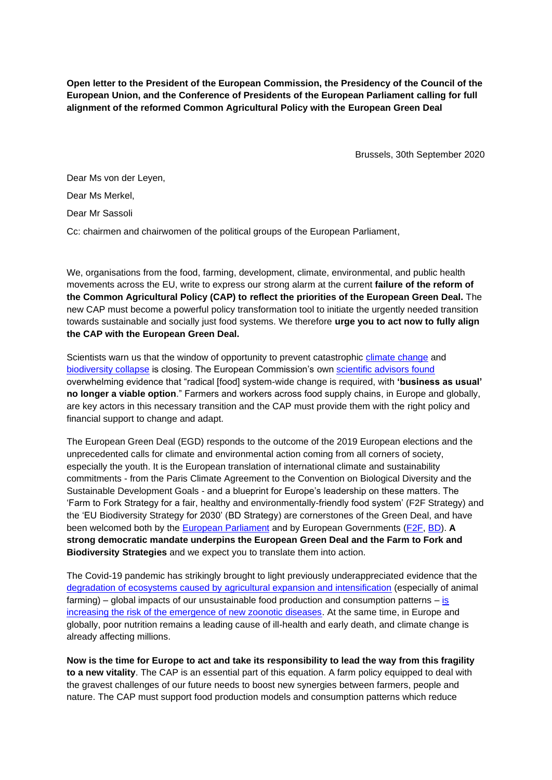**Open letter to the President of the European Commission, the Presidency of the Council of the European Union, and the Conference of Presidents of the European Parliament calling for full alignment of the reformed Common Agricultural Policy with the European Green Deal**

Brussels, 30th September 2020

Dear Ms von der Leyen,

Dear Ms Merkel,

Dear Mr Sassoli

Cc: chairmen and chairwomen of the political groups of the European Parliament,

We, organisations from the food, farming, development, climate, environmental, and public health movements across the EU, write to express our strong alarm at the current **failure of the reform of the Common Agricultural Policy (CAP) to reflect the priorities of the European Green Deal.** The new CAP must become a powerful policy transformation tool to initiate the urgently needed transition towards sustainable and socially just food systems. We therefore **urge you to act now to fully align the CAP with the European Green Deal.** 

Scientists warn us that the window of opportunity to prevent catastrophic climate change and biodiversity collapse is closing. The European Commission's own scientific advisors found overwhelming evidence that "radical [food] system-wide change is required, with **'business as usual' no longer a viable option**." Farmers and workers across food supply chains, in Europe and globally, are key actors in this necessary transition and the CAP must provide them with the right policy and financial support to change and adapt.

The European Green Deal (EGD) responds to the outcome of the 2019 European elections and the unprecedented calls for climate and environmental action coming from all corners of society, especially the youth. It is the European translation of international climate and sustainability commitments - from the Paris Climate Agreement to the Convention on Biological Diversity and the Sustainable Development Goals - and a blueprint for Europe's leadership on these matters. The 'Farm to Fork Strategy for a fair, healthy and environmentally-friendly food system' (F2F Strategy) and the 'EU Biodiversity Strategy for 2030' (BD Strategy) are cornerstones of the Green Deal, and have been welcomed both by the European Parliament and by European Governments (F2F, BD). **A strong democratic mandate underpins the European Green Deal and the Farm to Fork and Biodiversity Strategies** and we expect you to translate them into action.

The Covid-19 pandemic has strikingly brought to light previously underappreciated evidence that the degradation of ecosystems caused by agricultural expansion and intensification (especially of animal farming) – global impacts of our unsustainable food production and consumption patterns – is increasing the risk of the emergence of new zoonotic diseases. At the same time, in Europe and globally, poor nutrition remains a leading cause of ill-health and early death, and climate change is already affecting millions.

**Now is the time for Europe to act and take its responsibility to lead the way from this fragility to a new vitality**. The CAP is an essential part of this equation. A farm policy equipped to deal with the gravest challenges of our future needs to boost new synergies between farmers, people and nature. The CAP must support food production models and consumption patterns which reduce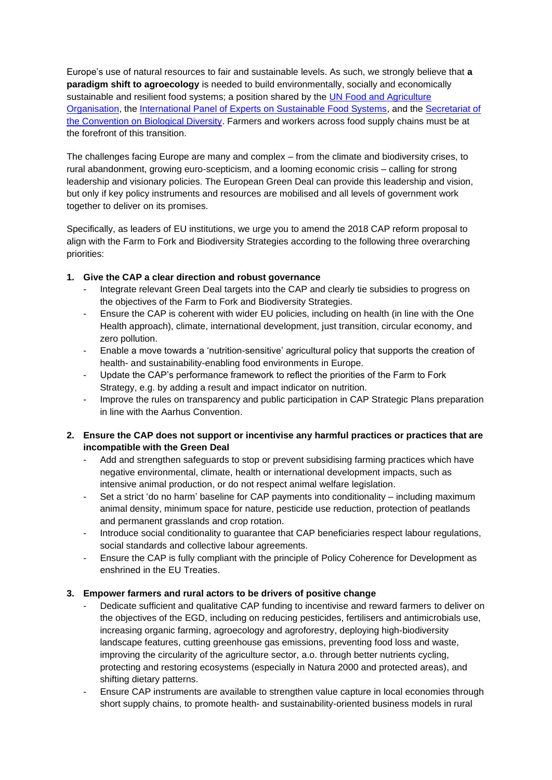Europe's use of natural resources to fair and sustainable levels. As such, we strongly believe that **a paradigm shift to agroecology** is needed to build environmentally, socially and economically sustainable and resilient food systems; a position shared by the UN Food and Agriculture Organisation, the International Panel of Experts on Sustainable Food Systems, and the Secretariat of the Convention on Biological Diversity. Farmers and workers across food supply chains must be at the forefront of this transition.

The challenges facing Europe are many and complex – from the climate and biodiversity crises, to rural abandonment, growing euro-scepticism, and a looming economic crisis – calling for strong leadership and visionary policies. The European Green Deal can provide this leadership and vision, but only if key policy instruments and resources are mobilised and all levels of government work together to deliver on its promises.

Specifically, as leaders of EU institutions, we urge you to amend the 2018 CAP reform proposal to align with the Farm to Fork and Biodiversity Strategies according to the following three overarching priorities:

## **1. Give the CAP a clear direction and robust governance**

- Integrate relevant Green Deal targets into the CAP and clearly tie subsidies to progress on the objectives of the Farm to Fork and Biodiversity Strategies.
- Ensure the CAP is coherent with wider EU policies, including on health (in line with the One Health approach), climate, international development, just transition, circular economy, and zero pollution.
- Enable a move towards a 'nutrition-sensitive' agricultural policy that supports the creation of health- and sustainability-enabling food environments in Europe.
- Update the CAP's performance framework to reflect the priorities of the Farm to Fork Strategy, e.g. by adding a result and impact indicator on nutrition.
- Improve the rules on transparency and public participation in CAP Strategic Plans preparation in line with the Aarhus Convention.

## **2. Ensure the CAP does not support or incentivise any harmful practices or practices that are incompatible with the Green Deal**

- Add and strengthen safeguards to stop or prevent subsidising farming practices which have negative environmental, climate, health or international development impacts, such as intensive animal production, or do not respect animal welfare legislation.
- Set a strict 'do no harm' baseline for CAP payments into conditionality including maximum animal density, minimum space for nature, pesticide use reduction, protection of peatlands and permanent grasslands and crop rotation.
- Introduce social conditionality to guarantee that CAP beneficiaries respect labour regulations, social standards and collective labour agreements.
- Ensure the CAP is fully compliant with the principle of Policy Coherence for Development as enshrined in the EU Treaties.

## **3. Empower farmers and rural actors to be drivers of positive change**

- Dedicate sufficient and qualitative CAP funding to incentivise and reward farmers to deliver on the objectives of the EGD, including on reducing pesticides, fertilisers and antimicrobials use, increasing organic farming, agroecology and agroforestry, deploying high-biodiversity landscape features, cutting greenhouse gas emissions, preventing food loss and waste, improving the circularity of the agriculture sector, a.o. through better nutrients cycling, protecting and restoring ecosystems (especially in Natura 2000 and protected areas), and shifting dietary patterns.
- Ensure CAP instruments are available to strengthen value capture in local economies through short supply chains, to promote health- and sustainability-oriented business models in rural